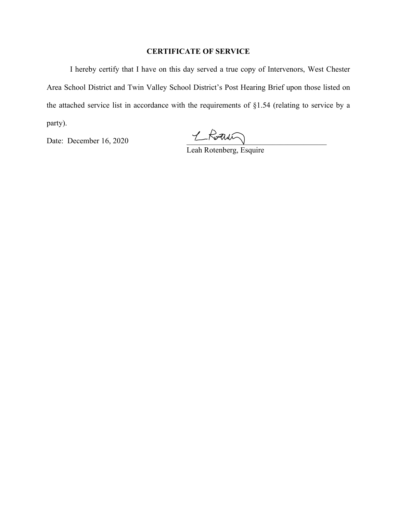## **CERTIFICATE OF SERVICE**

I hereby certify that I have on this day served a true copy of Intervenors, West Chester Area School District and Twin Valley School District's Post Hearing Brief upon those listed on the attached service list in accordance with the requirements of §1.54 (relating to service by a party).

Date: December 16, 2020 \_\_\_\_\_\_\_\_\_\_\_\_\_\_\_\_\_\_\_\_\_\_\_\_\_\_\_\_\_\_\_\_\_\_\_\_

Leah Rotenberg, Esquire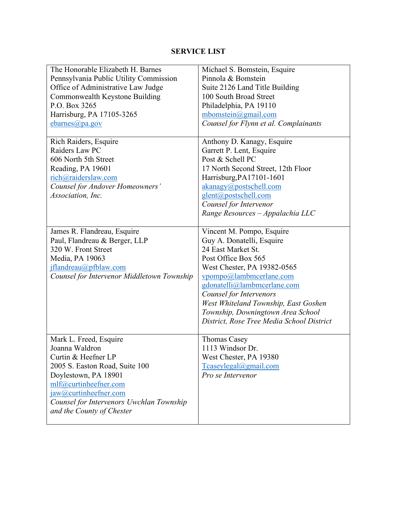## **SERVICE LIST**

| The Honorable Elizabeth H. Barnes               | Michael S. Bomstein, Esquire<br>Pinnola & Bomstein       |
|-------------------------------------------------|----------------------------------------------------------|
| Pennsylvania Public Utility Commission          |                                                          |
| Office of Administrative Law Judge              | Suite 2126 Land Title Building<br>100 South Broad Street |
| Commonwealth Keystone Building<br>P.O. Box 3265 |                                                          |
|                                                 | Philadelphia, PA 19110                                   |
| Harrisburg, PA 17105-3265                       | mbomstein@gmail.com                                      |
| ebarnes@pa.gov                                  | Counsel for Flynn et al. Complainants                    |
| Rich Raiders, Esquire                           | Anthony D. Kanagy, Esquire                               |
| Raiders Law PC                                  | Garrett P. Lent, Esquire                                 |
| 606 North 5th Street                            | Post & Schell PC                                         |
| Reading, PA 19601                               | 17 North Second Street, 12th Floor                       |
| rich@raiderslaw.com                             | Harrisburg, PA17101-1601                                 |
| Counsel for Andover Homeowners'                 | akanagy@postschell.com                                   |
| Association, Inc.                               | glent@postschell.com                                     |
|                                                 | Counsel for Intervenor                                   |
|                                                 | Range Resources - Appalachia LLC                         |
|                                                 |                                                          |
| James R. Flandreau, Esquire                     | Vincent M. Pompo, Esquire                                |
| Paul, Flandreau & Berger, LLP                   | Guy A. Donatelli, Esquire                                |
| 320 W. Front Street                             | 24 East Market St.                                       |
| Media, PA 19063                                 | Post Office Box 565                                      |
| jflandreau@pfblaw.com                           | West Chester, PA 19382-0565                              |
| Counsel for Intervenor Middletown Township      | vpompo@lambmcerlane.com                                  |
|                                                 | gdonatelli@lambmcerlane.com                              |
|                                                 | Counsel for Intervenors                                  |
|                                                 | West Whiteland Township, East Goshen                     |
|                                                 | Township, Downingtown Area School                        |
|                                                 | District, Rose Tree Media School District                |
|                                                 |                                                          |
| Mark L. Freed, Esquire                          | Thomas Casey                                             |
| Joanna Waldron                                  | 1113 Windsor Dr.                                         |
| Curtin & Heefner LP                             | West Chester, PA 19380                                   |
| 2005 S. Easton Road, Suite 100                  | Tcaseylegal@gmail.com                                    |
| Doylestown, PA 18901                            | Pro se Intervenor                                        |
| mlf@curtinheefner.com                           |                                                          |
| jaw@curtinheefner.com                           |                                                          |
| Counsel for Intervenors Uwchlan Township        |                                                          |
| and the County of Chester                       |                                                          |
|                                                 |                                                          |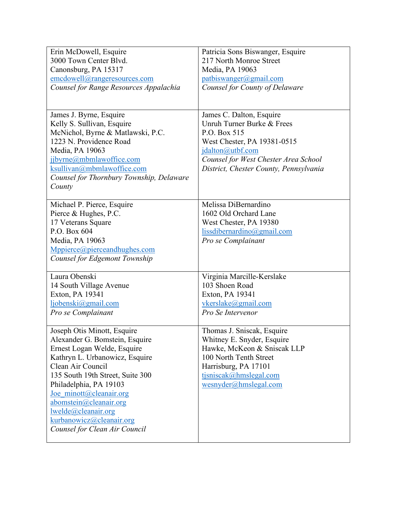| Erin McDowell, Esquire                                                                                                                                                                                                   | Patricia Sons Biswanger, Esquire                                        |
|--------------------------------------------------------------------------------------------------------------------------------------------------------------------------------------------------------------------------|-------------------------------------------------------------------------|
| 3000 Town Center Blvd.                                                                                                                                                                                                   | 217 North Monroe Street                                                 |
| Canonsburg, PA 15317                                                                                                                                                                                                     | Media, PA 19063                                                         |
| emcdowell@rangeresources.com                                                                                                                                                                                             | patbiswanger@gmail.com                                                  |
| Counsel for Range Resources Appalachia                                                                                                                                                                                   | Counsel for County of Delaware                                          |
|                                                                                                                                                                                                                          |                                                                         |
|                                                                                                                                                                                                                          |                                                                         |
| James J. Byrne, Esquire                                                                                                                                                                                                  | James C. Dalton, Esquire                                                |
| Kelly S. Sullivan, Esquire                                                                                                                                                                                               | Unruh Turner Burke & Frees                                              |
| McNichol, Byrne & Matlawski, P.C.                                                                                                                                                                                        | P.O. Box 515                                                            |
| 1223 N. Providence Road                                                                                                                                                                                                  | West Chester, PA 19381-0515                                             |
| Media, PA 19063                                                                                                                                                                                                          | jdalton@utbf.com                                                        |
| jjbyrne@mbmlawoffice.com                                                                                                                                                                                                 | Counsel for West Chester Area School                                    |
| ksullivan@mbmlawoffice.com                                                                                                                                                                                               | District, Chester County, Pennsylvania                                  |
| Counsel for Thornbury Township, Delaware                                                                                                                                                                                 |                                                                         |
| County                                                                                                                                                                                                                   |                                                                         |
|                                                                                                                                                                                                                          |                                                                         |
| Michael P. Pierce, Esquire                                                                                                                                                                                               | Melissa DiBernardino                                                    |
| Pierce & Hughes, P.C.                                                                                                                                                                                                    | 1602 Old Orchard Lane                                                   |
| 17 Veterans Square                                                                                                                                                                                                       | West Chester, PA 19380                                                  |
| P.O. Box 604                                                                                                                                                                                                             | $lissdibernardino(\partial gmail.com)$                                  |
| Media, PA 19063                                                                                                                                                                                                          | Pro se Complainant                                                      |
| Mppierce@pierceandhughes.com                                                                                                                                                                                             |                                                                         |
| Counsel for Edgemont Township                                                                                                                                                                                            |                                                                         |
|                                                                                                                                                                                                                          |                                                                         |
| Laura Obenski                                                                                                                                                                                                            | Virginia Marcille-Kerslake                                              |
| 14 South Village Avenue                                                                                                                                                                                                  | 103 Shoen Road                                                          |
| Exton, PA 19341                                                                                                                                                                                                          | Exton, PA 19341                                                         |
| ljobenski@gmail.com                                                                                                                                                                                                      | vkerslake@gmail.com                                                     |
| Pro se Complainant                                                                                                                                                                                                       | Pro Se Intervenor                                                       |
|                                                                                                                                                                                                                          | Thomas J. Sniscak, Esquire                                              |
| Joseph Otis Minott, Esquire                                                                                                                                                                                              |                                                                         |
| Alexander G. Bomstein, Esquire<br>Ernest Logan Welde, Esquire                                                                                                                                                            | Whitney E. Snyder, Esquire<br>Hawke, McKeon & Sniscak LLP               |
| Kathryn L. Urbanowicz, Esquire                                                                                                                                                                                           | 100 North Tenth Street                                                  |
|                                                                                                                                                                                                                          |                                                                         |
|                                                                                                                                                                                                                          |                                                                         |
|                                                                                                                                                                                                                          |                                                                         |
|                                                                                                                                                                                                                          |                                                                         |
|                                                                                                                                                                                                                          |                                                                         |
|                                                                                                                                                                                                                          |                                                                         |
|                                                                                                                                                                                                                          |                                                                         |
|                                                                                                                                                                                                                          |                                                                         |
|                                                                                                                                                                                                                          |                                                                         |
| Clean Air Council<br>135 South 19th Street, Suite 300<br>Philadelphia, PA 19103<br>Joe minott@cleanair.org<br>abomstein@cleanair.org<br>lwelde@cleanair.org<br>kurbanowicz@cleanair.org<br>Counsel for Clean Air Council | Harrisburg, PA 17101<br>tjsniscak@hmslegal.com<br>wesnyder@hmslegal.com |